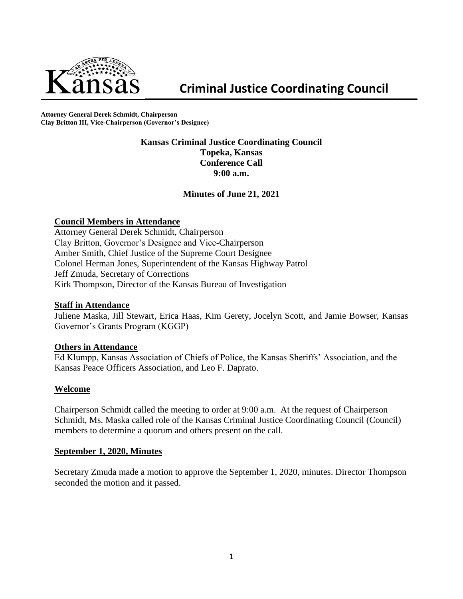

**Criminal Justice Coordinating Council** 

**Attorney General Derek Schmidt, Chairperson Clay Britton III, Vice-Chairperson (Governor's Designee)**

> **Kansas Criminal Justice Coordinating Council Topeka, Kansas Conference Call 9:00 a.m.**

### **Minutes of June 21, 2021**

### **Council Members in Attendance**

Attorney General Derek Schmidt, Chairperson Clay Britton, Governor's Designee and Vice-Chairperson Amber Smith, Chief Justice of the Supreme Court Designee Colonel Herman Jones, Superintendent of the Kansas Highway Patrol Jeff Zmuda, Secretary of Corrections Kirk Thompson, Director of the Kansas Bureau of Investigation

#### **Staff in Attendance**

Juliene Maska, Jill Stewart, Erica Haas, Kim Gerety, Jocelyn Scott, and Jamie Bowser, Kansas Governor's Grants Program (KGGP)

#### **Others in Attendance**

Ed Klumpp, Kansas Association of Chiefs of Police, the Kansas Sheriffs' Association, and the Kansas Peace Officers Association, and Leo F. Daprato.

#### **Welcome**

Chairperson Schmidt called the meeting to order at 9:00 a.m. At the request of Chairperson Schmidt, Ms. Maska called role of the Kansas Criminal Justice Coordinating Council (Council) members to determine a quorum and others present on the call.

#### **September 1, 2020, Minutes**

Secretary Zmuda made a motion to approve the September 1, 2020, minutes. Director Thompson seconded the motion and it passed.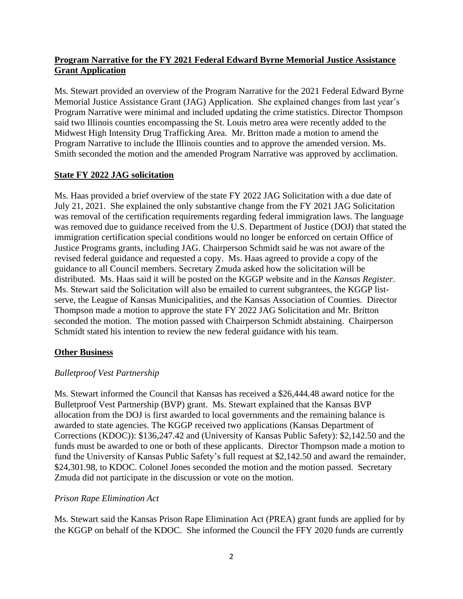## **Program Narrative for the FY 2021 Federal Edward Byrne Memorial Justice Assistance Grant Application**

Ms. Stewart provided an overview of the Program Narrative for the 2021 Federal Edward Byrne Memorial Justice Assistance Grant (JAG) Application. She explained changes from last year's Program Narrative were minimal and included updating the crime statistics. Director Thompson said two Illinois counties encompassing the St. Louis metro area were recently added to the Midwest High Intensity Drug Trafficking Area. Mr. Britton made a motion to amend the Program Narrative to include the Illinois counties and to approve the amended version. Ms. Smith seconded the motion and the amended Program Narrative was approved by acclimation.

## **State FY 2022 JAG solicitation**

Ms. Haas provided a brief overview of the state FY 2022 JAG Solicitation with a due date of July 21, 2021. She explained the only substantive change from the FY 2021 JAG Solicitation was removal of the certification requirements regarding federal immigration laws. The language was removed due to guidance received from the U.S. Department of Justice (DOJ) that stated the immigration certification special conditions would no longer be enforced on certain Office of Justice Programs grants, including JAG. Chairperson Schmidt said he was not aware of the revised federal guidance and requested a copy. Ms. Haas agreed to provide a copy of the guidance to all Council members. Secretary Zmuda asked how the solicitation will be distributed. Ms. Haas said it will be posted on the KGGP website and in the *Kansas Register*. Ms. Stewart said the Solicitation will also be emailed to current subgrantees, the KGGP listserve, the League of Kansas Municipalities, and the Kansas Association of Counties. Director Thompson made a motion to approve the state FY 2022 JAG Solicitation and Mr. Britton seconded the motion. The motion passed with Chairperson Schmidt abstaining. Chairperson Schmidt stated his intention to review the new federal guidance with his team.

# **Other Business**

## *Bulletproof Vest Partnership*

Ms. Stewart informed the Council that Kansas has received a \$26,444.48 award notice for the Bulletproof Vest Partnership (BVP) grant. Ms. Stewart explained that the Kansas BVP allocation from the DOJ is first awarded to local governments and the remaining balance is awarded to state agencies. The KGGP received two applications (Kansas Department of Corrections (KDOC)): \$136,247.42 and (University of Kansas Public Safety): \$2,142.50 and the funds must be awarded to one or both of these applicants. Director Thompson made a motion to fund the University of Kansas Public Safety's full request at \$2,142.50 and award the remainder, \$24,301.98, to KDOC. Colonel Jones seconded the motion and the motion passed. Secretary Zmuda did not participate in the discussion or vote on the motion.

## *Prison Rape Elimination Act*

Ms. Stewart said the Kansas Prison Rape Elimination Act (PREA) grant funds are applied for by the KGGP on behalf of the KDOC. She informed the Council the FFY 2020 funds are currently